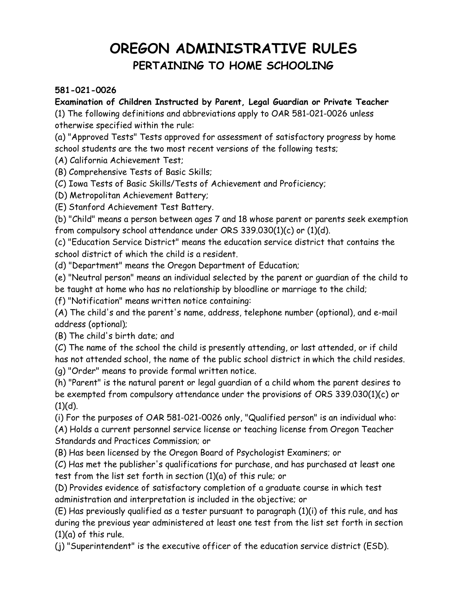# **OREGON ADMINISTRATIVE RULES PERTAINING TO HOME SCHOOLING**

#### **581-021-0026**

### **Examination of Children Instructed by Parent, Legal Guardian or Private Teacher**

(1) The following definitions and abbreviations apply to OAR 581-021-0026 unless otherwise specified within the rule:

(a) "Approved Tests" Tests approved for assessment of satisfactory progress by home

school students are the two most recent versions of the following tests;

(A) California Achievement Test;

(B) Comprehensive Tests of Basic Skills;

(C) Iowa Tests of Basic Skills/Tests of Achievement and Proficiency;

(D) Metropolitan Achievement Battery;

(E) Stanford Achievement Test Battery.

(b) "Child" means a person between ages 7 and 18 whose parent or parents seek exemption from compulsory school attendance under ORS 339.030(1)(c) or (1)(d).

(c) "Education Service District" means the education service district that contains the school district of which the child is a resident.

(d) "Department" means the Oregon Department of Education;

(e) "Neutral person" means an individual selected by the parent or guardian of the child to be taught at home who has no relationship by bloodline or marriage to the child;

(f) "Notification" means written notice containing:

(A) The child's and the parent's name, address, telephone number (optional), and e-mail address (optional);

(B) The child's birth date; and

(C) The name of the school the child is presently attending, or last attended, or if child has not attended school, the name of the public school district in which the child resides. (g) "Order" means to provide formal written notice.

(h) "Parent" is the natural parent or legal guardian of a child whom the parent desires to be exempted from compulsory attendance under the provisions of ORS 339.030(1)(c) or  $(1)(d)$ .

(i) For the purposes of OAR 581-021-0026 only, "Qualified person" is an individual who: (A) Holds a current personnel service license or teaching license from Oregon Teacher Standards and Practices Commission; or

(B) Has been licensed by the Oregon Board of Psychologist Examiners; or

(C) Has met the publisher's qualifications for purchase, and has purchased at least one test from the list set forth in section (1)(a) of this rule; or

(D) Provides evidence of satisfactory completion of a graduate course in which test administration and interpretation is included in the objective; or

(E) Has previously qualified as a tester pursuant to paragraph (1)(i) of this rule, and has during the previous year administered at least one test from the list set forth in section  $(1)(a)$  of this rule.

(j) "Superintendent" is the executive officer of the education service district (ESD).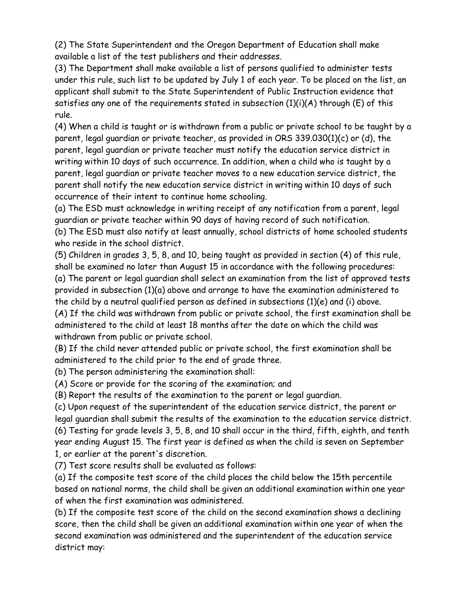(2) The State Superintendent and the Oregon Department of Education shall make available a list of the test publishers and their addresses.

(3) The Department shall make available a list of persons qualified to administer tests under this rule, such list to be updated by July 1 of each year. To be placed on the list, an applicant shall submit to the State Superintendent of Public Instruction evidence that satisfies any one of the requirements stated in subsection  $(1)(i)(A)$  through  $(E)$  of this rule.

(4) When a child is taught or is withdrawn from a public or private school to be taught by a parent, legal guardian or private teacher, as provided in ORS 339.030(1)(c) or (d), the parent, legal guardian or private teacher must notify the education service district in writing within 10 days of such occurrence. In addition, when a child who is taught by a parent, legal guardian or private teacher moves to a new education service district, the parent shall notify the new education service district in writing within 10 days of such occurrence of their intent to continue home schooling.

(a) The ESD must acknowledge in writing receipt of any notification from a parent, legal guardian or private teacher within 90 days of having record of such notification.

(b) The ESD must also notify at least annually, school districts of home schooled students who reside in the school district.

(5) Children in grades 3, 5, 8, and 10, being taught as provided in section (4) of this rule, shall be examined no later than August 15 in accordance with the following procedures: (a) The parent or legal guardian shall select an examination from the list of approved tests

provided in subsection (1)(a) above and arrange to have the examination administered to the child by a neutral qualified person as defined in subsections (1)(e) and (i) above. (A) If the child was withdrawn from public or private school, the first examination shall be administered to the child at least 18 months after the date on which the child was withdrawn from public or private school.

(B) If the child never attended public or private school, the first examination shall be administered to the child prior to the end of grade three.

(b) The person administering the examination shall:

(A) Score or provide for the scoring of the examination; and

(B) Report the results of the examination to the parent or legal guardian.

(c) Upon request of the superintendent of the education service district, the parent or legal guardian shall submit the results of the examination to the education service district. (6) Testing for grade levels 3, 5, 8, and 10 shall occur in the third, fifth, eighth, and tenth year ending August 15. The first year is defined as when the child is seven on September 1, or earlier at the parent's discretion.

(7) Test score results shall be evaluated as follows:

(a) If the composite test score of the child places the child below the 15th percentile based on national norms, the child shall be given an additional examination within one year of when the first examination was administered.

(b) If the composite test score of the child on the second examination shows a declining score, then the child shall be given an additional examination within one year of when the second examination was administered and the superintendent of the education service district may: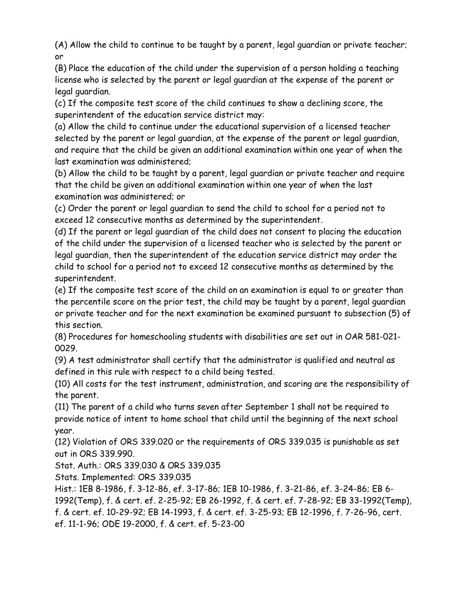(A) Allow the child to continue to be taught by a parent, legal guardian or private teacher; or

(B) Place the education of the child under the supervision of a person holding a teaching license who is selected by the parent or legal guardian at the expense of the parent or legal guardian.

(c) If the composite test score of the child continues to show a declining score, the superintendent of the education service district may:

(a) Allow the child to continue under the educational supervision of a licensed teacher selected by the parent or legal guardian, at the expense of the parent or legal guardian, and require that the child be given an additional examination within one year of when the last examination was administered;

(b) Allow the child to be taught by a parent, legal guardian or private teacher and require that the child be given an additional examination within one year of when the last examination was administered; or

(c) Order the parent or legal guardian to send the child to school for a period not to exceed 12 consecutive months as determined by the superintendent.

(d) If the parent or legal guardian of the child does not consent to placing the education of the child under the supervision of a licensed teacher who is selected by the parent or legal guardian, then the superintendent of the education service district may order the child to school for a period not to exceed 12 consecutive months as determined by the superintendent.

(e) If the composite test score of the child on an examination is equal to or greater than the percentile score on the prior test, the child may be taught by a parent, legal guardian or private teacher and for the next examination be examined pursuant to subsection (5) of this section.

(8) Procedures for homeschooling students with disabilities are set out in OAR 581-021- 0029.

(9) A test administrator shall certify that the administrator is qualified and neutral as defined in this rule with respect to a child being tested.

(10) All costs for the test instrument, administration, and scoring are the responsibility of the parent.

(11) The parent of a child who turns seven after September 1 shall not be required to provide notice of intent to home school that child until the beginning of the next school year.

(12) Violation of ORS 339.020 or the requirements of ORS 339.035 is punishable as set out in ORS 339.990.

Stat. Auth.: ORS 339.030 & ORS 339.035

Stats. Implemented: ORS 339.035

Hist.: 1EB 8-1986, f. 3-12-86, ef. 3-17-86; 1EB 10-1986, f. 3-21-86, ef. 3-24-86; EB 6- 1992(Temp), f. & cert. ef. 2-25-92; EB 26-1992, f. & cert. ef. 7-28-92; EB 33-1992(Temp), f. & cert. ef. 10-29-92; EB 14-1993, f. & cert. ef. 3-25-93; EB 12-1996, f. 7-26-96, cert. ef. 11-1-96; ODE 19-2000, f. & cert. ef. 5-23-00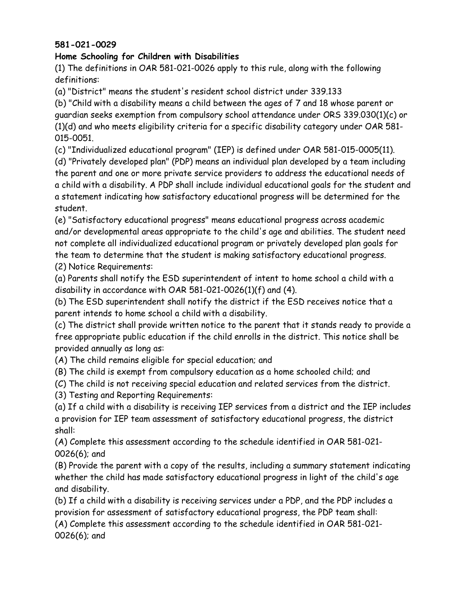#### **581-021-0029**

#### **Home Schooling for Children with Disabilities**

(1) The definitions in OAR 581-021-0026 apply to this rule, along with the following definitions:

(a) "District" means the student's resident school district under 339.133

(b) "Child with a disability means a child between the ages of 7 and 18 whose parent or guardian seeks exemption from compulsory school attendance under ORS 339.030(1)(c) or (1)(d) and who meets eligibility criteria for a specific disability category under OAR 581- 015-0051.

(c) "Individualized educational program" (IEP) is defined under OAR 581-015-0005(11).

(d) "Privately developed plan" (PDP) means an individual plan developed by a team including the parent and one or more private service providers to address the educational needs of a child with a disability. A PDP shall include individual educational goals for the student and a statement indicating how satisfactory educational progress will be determined for the student.

(e) "Satisfactory educational progress" means educational progress across academic and/or developmental areas appropriate to the child's age and abilities. The student need not complete all individualized educational program or privately developed plan goals for the team to determine that the student is making satisfactory educational progress. (2) Notice Requirements:

(a) Parents shall notify the ESD superintendent of intent to home school a child with a disability in accordance with OAR 581-021-0026(1)(f) and (4).

(b) The ESD superintendent shall notify the district if the ESD receives notice that a parent intends to home school a child with a disability.

(c) The district shall provide written notice to the parent that it stands ready to provide a free appropriate public education if the child enrolls in the district. This notice shall be provided annually as long as:

(A) The child remains eligible for special education; and

(B) The child is exempt from compulsory education as a home schooled child; and

(C) The child is not receiving special education and related services from the district.

(3) Testing and Reporting Requirements:

(a) If a child with a disability is receiving IEP services from a district and the IEP includes a provision for IEP team assessment of satisfactory educational progress, the district shall:

(A) Complete this assessment according to the schedule identified in OAR 581-021- 0026(6); and

(B) Provide the parent with a copy of the results, including a summary statement indicating whether the child has made satisfactory educational progress in light of the child's age and disability.

(b) If a child with a disability is receiving services under a PDP, and the PDP includes a provision for assessment of satisfactory educational progress, the PDP team shall: (A) Complete this assessment according to the schedule identified in OAR 581-021-

0026(6); and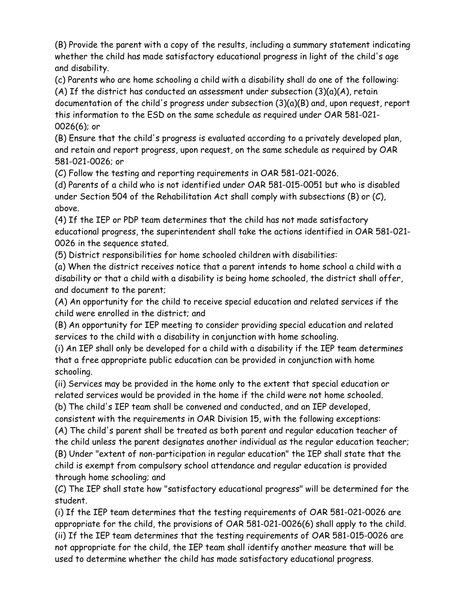(B) Provide the parent with a copy of the results, including a summary statement indicating whether the child has made satisfactory educational progress in light of the child's age and disability.

(c) Parents who are home schooling a child with a disability shall do one of the following:

(A) If the district has conducted an assessment under subsection (3)(a)(A), retain documentation of the child's progress under subsection (3)(a)(B) and, upon request, report this information to the ESD on the same schedule as required under OAR 581-021- 0026(6); or

(B) Ensure that the child's progress is evaluated according to a privately developed plan, and retain and report progress, upon request, on the same schedule as required by OAR 581-021-0026; or

(C) Follow the testing and reporting requirements in OAR 581-021-0026.

(d) Parents of a child who is not identified under OAR 581-015-0051 but who is disabled under Section 504 of the Rehabilitation Act shall comply with subsections (B) or (C), above.

(4) If the IEP or PDP team determines that the child has not made satisfactory educational progress, the superintendent shall take the actions identified in OAR 581-021- 0026 in the sequence stated.

(5) District responsibilities for home schooled children with disabilities:

(a) When the district receives notice that a parent intends to home school a child with a disability or that a child with a disability is being home schooled, the district shall offer, and document to the parent;

(A) An opportunity for the child to receive special education and related services if the child were enrolled in the district; and

(B) An opportunity for IEP meeting to consider providing special education and related services to the child with a disability in conjunction with home schooling.

(i) An IEP shall only be developed for a child with a disability if the IEP team determines that a free appropriate public education can be provided in conjunction with home schooling.

(ii) Services may be provided in the home only to the extent that special education or related services would be provided in the home if the child were not home schooled.

(b) The child's IEP team shall be convened and conducted, and an IEP developed,

consistent with the requirements in OAR Division 15, with the following exceptions:

(A) The child's parent shall be treated as both parent and regular education teacher of the child unless the parent designates another individual as the regular education teacher; (B) Under "extent of non-participation in regular education" the IEP shall state that the child is exempt from compulsory school attendance and regular education is provided through home schooling; and

(C) The IEP shall state how "satisfactory educational progress" will be determined for the student.

(i) If the IEP team determines that the testing requirements of OAR 581-021-0026 are appropriate for the child, the provisions of OAR 581-021-0026(6) shall apply to the child. (ii) If the IEP team determines that the testing requirements of OAR 581-015-0026 are not appropriate for the child, the IEP team shall identify another measure that will be used to determine whether the child has made satisfactory educational progress.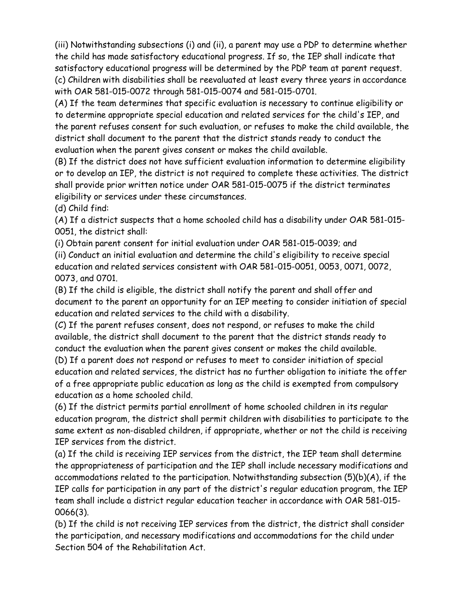(iii) Notwithstanding subsections (i) and (ii), a parent may use a PDP to determine whether the child has made satisfactory educational progress. If so, the IEP shall indicate that satisfactory educational progress will be determined by the PDP team at parent request. (c) Children with disabilities shall be reevaluated at least every three years in accordance with OAR 581-015-0072 through 581-015-0074 and 581-015-0701.

(A) If the team determines that specific evaluation is necessary to continue eligibility or to determine appropriate special education and related services for the child's IEP, and the parent refuses consent for such evaluation, or refuses to make the child available, the district shall document to the parent that the district stands ready to conduct the evaluation when the parent gives consent or makes the child available.

(B) If the district does not have sufficient evaluation information to determine eligibility or to develop an IEP, the district is not required to complete these activities. The district shall provide prior written notice under OAR 581-015-0075 if the district terminates eligibility or services under these circumstances.

(d) Child find:

(A) If a district suspects that a home schooled child has a disability under OAR 581-015- 0051, the district shall:

(i) Obtain parent consent for initial evaluation under OAR 581-015-0039; and (ii) Conduct an initial evaluation and determine the child's eligibility to receive special education and related services consistent with OAR 581-015-0051, 0053, 0071, 0072, 0073, and 0701.

(B) If the child is eligible, the district shall notify the parent and shall offer and document to the parent an opportunity for an IEP meeting to consider initiation of special education and related services to the child with a disability.

(C) If the parent refuses consent, does not respond, or refuses to make the child available, the district shall document to the parent that the district stands ready to conduct the evaluation when the parent gives consent or makes the child available.

(D) If a parent does not respond or refuses to meet to consider initiation of special education and related services, the district has no further obligation to initiate the offer of a free appropriate public education as long as the child is exempted from compulsory education as a home schooled child.

(6) If the district permits partial enrollment of home schooled children in its regular education program, the district shall permit children with disabilities to participate to the same extent as non-disabled children, if appropriate, whether or not the child is receiving IEP services from the district.

(a) If the child is receiving IEP services from the district, the IEP team shall determine the appropriateness of participation and the IEP shall include necessary modifications and accommodations related to the participation. Notwithstanding subsection (5)(b)(A), if the IEP calls for participation in any part of the district's regular education program, the IEP team shall include a district regular education teacher in accordance with OAR 581-015- 0066(3).

(b) If the child is not receiving IEP services from the district, the district shall consider the participation, and necessary modifications and accommodations for the child under Section 504 of the Rehabilitation Act.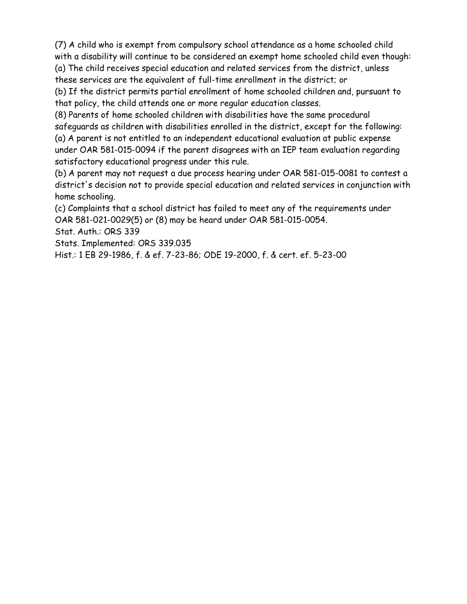(7) A child who is exempt from compulsory school attendance as a home schooled child with a disability will continue to be considered an exempt home schooled child even though: (a) The child receives special education and related services from the district, unless these services are the equivalent of full-time enrollment in the district; or

(b) If the district permits partial enrollment of home schooled children and, pursuant to that policy, the child attends one or more regular education classes.

(8) Parents of home schooled children with disabilities have the same procedural safeguards as children with disabilities enrolled in the district, except for the following: (a) A parent is not entitled to an independent educational evaluation at public expense under OAR 581-015-0094 if the parent disagrees with an IEP team evaluation regarding satisfactory educational progress under this rule.

(b) A parent may not request a due process hearing under OAR 581-015-0081 to contest a district's decision not to provide special education and related services in conjunction with home schooling.

(c) Complaints that a school district has failed to meet any of the requirements under OAR 581-021-0029(5) or (8) may be heard under OAR 581-015-0054.

Stat. Auth.: ORS 339

Stats. Implemented: ORS 339.035

Hist.: 1 EB 29-1986, f. & ef. 7-23-86; ODE 19-2000, f. & cert. ef. 5-23-00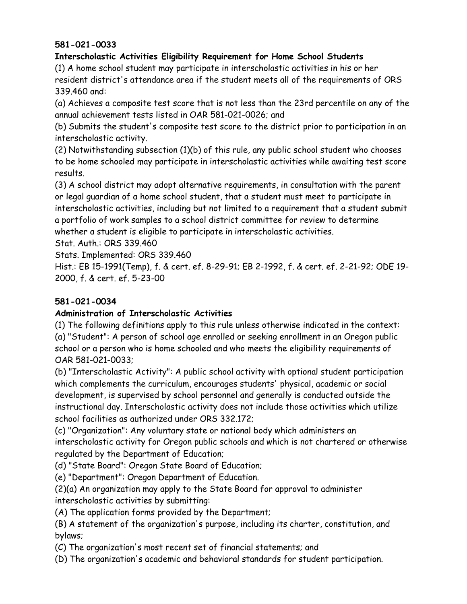### **581-021-0033**

## **Interscholastic Activities Eligibility Requirement for Home School Students**

(1) A home school student may participate in interscholastic activities in his or her resident district's attendance area if the student meets all of the requirements of ORS 339.460 and:

(a) Achieves a composite test score that is not less than the 23rd percentile on any of the annual achievement tests listed in OAR 581-021-0026; and

(b) Submits the student's composite test score to the district prior to participation in an interscholastic activity.

(2) Notwithstanding subsection (1)(b) of this rule, any public school student who chooses to be home schooled may participate in interscholastic activities while awaiting test score results.

(3) A school district may adopt alternative requirements, in consultation with the parent or legal guardian of a home school student, that a student must meet to participate in interscholastic activities, including but not limited to a requirement that a student submit a portfolio of work samples to a school district committee for review to determine whether a student is eligible to participate in interscholastic activities.

Stat. Auth.: ORS 339.460

Stats. Implemented: ORS 339.460

Hist.: EB 15-1991(Temp), f. & cert. ef. 8-29-91; EB 2-1992, f. & cert. ef. 2-21-92; ODE 19- 2000, f. & cert. ef. 5-23-00

# **581-021-0034**

### **Administration of Interscholastic Activities**

(1) The following definitions apply to this rule unless otherwise indicated in the context: (a) "Student": A person of school age enrolled or seeking enrollment in an Oregon public school or a person who is home schooled and who meets the eligibility requirements of OAR 581-021-0033;

(b) "Interscholastic Activity": A public school activity with optional student participation which complements the curriculum, encourages students' physical, academic or social development, is supervised by school personnel and generally is conducted outside the instructional day. Interscholastic activity does not include those activities which utilize school facilities as authorized under ORS 332.172;

(c) "Organization": Any voluntary state or national body which administers an interscholastic activity for Oregon public schools and which is not chartered or otherwise regulated by the Department of Education;

(d) "State Board": Oregon State Board of Education;

(e) "Department": Oregon Department of Education.

(2)(a) An organization may apply to the State Board for approval to administer interscholastic activities by submitting:

(A) The application forms provided by the Department;

(B) A statement of the organization's purpose, including its charter, constitution, and bylaws;

(C) The organization's most recent set of financial statements; and

(D) The organization's academic and behavioral standards for student participation.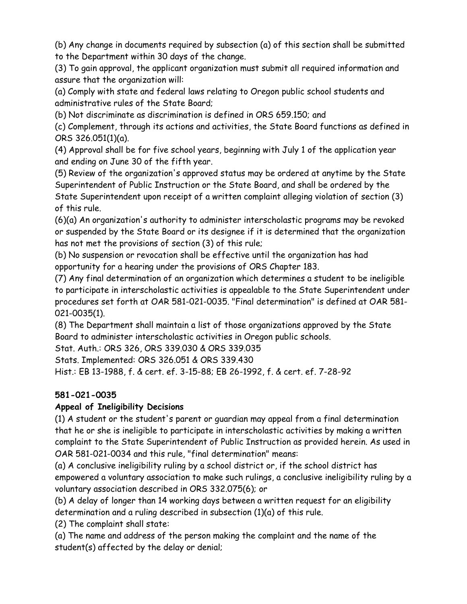(b) Any change in documents required by subsection (a) of this section shall be submitted to the Department within 30 days of the change.

(3) To gain approval, the applicant organization must submit all required information and assure that the organization will:

(a) Comply with state and federal laws relating to Oregon public school students and administrative rules of the State Board;

(b) Not discriminate as discrimination is defined in ORS 659.150; and

(c) Complement, through its actions and activities, the State Board functions as defined in ORS 326.051(1)(a).

(4) Approval shall be for five school years, beginning with July 1 of the application year and ending on June 30 of the fifth year.

(5) Review of the organization's approved status may be ordered at anytime by the State Superintendent of Public Instruction or the State Board, and shall be ordered by the State Superintendent upon receipt of a written complaint alleging violation of section (3) of this rule.

(6)(a) An organization's authority to administer interscholastic programs may be revoked or suspended by the State Board or its designee if it is determined that the organization has not met the provisions of section (3) of this rule;

(b) No suspension or revocation shall be effective until the organization has had opportunity for a hearing under the provisions of ORS Chapter 183.

(7) Any final determination of an organization which determines a student to be ineligible to participate in interscholastic activities is appealable to the State Superintendent under procedures set forth at OAR 581-021-0035. "Final determination" is defined at OAR 581- 021-0035(1).

(8) The Department shall maintain a list of those organizations approved by the State Board to administer interscholastic activities in Oregon public schools.

Stat. Auth.: ORS 326, ORS 339.030 & ORS 339.035

Stats. Implemented: ORS 326.051 & ORS 339.430

Hist.: EB 13-1988, f. & cert. ef. 3-15-88; EB 26-1992, f. & cert. ef. 7-28-92

# **581-021-0035**

# **Appeal of Ineligibility Decisions**

(1) A student or the student's parent or guardian may appeal from a final determination that he or she is ineligible to participate in interscholastic activities by making a written complaint to the State Superintendent of Public Instruction as provided herein. As used in OAR 581-021-0034 and this rule, "final determination" means:

(a) A conclusive ineligibility ruling by a school district or, if the school district has empowered a voluntary association to make such rulings, a conclusive ineligibility ruling by a voluntary association described in ORS 332.075(6); or

(b) A delay of longer than 14 working days between a written request for an eligibility determination and a ruling described in subsection (1)(a) of this rule.

(2) The complaint shall state:

(a) The name and address of the person making the complaint and the name of the student(s) affected by the delay or denial;